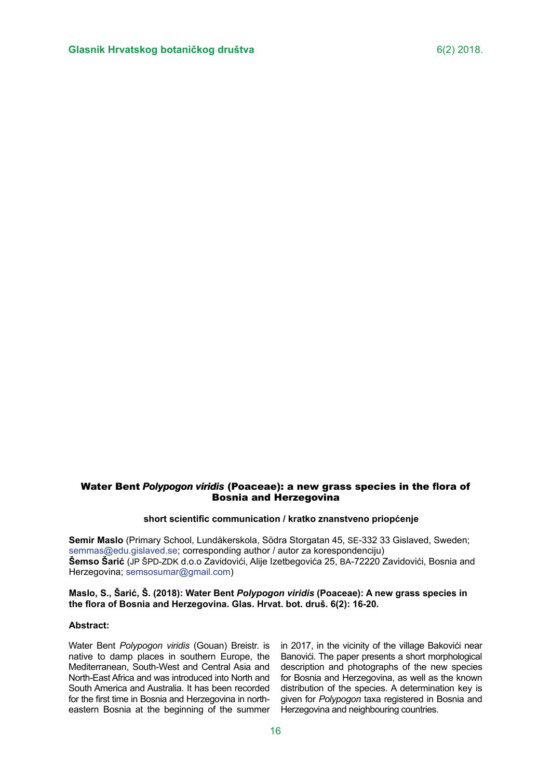# Water Bent *Polypogon viridis* (Poaceae): a new grass species in the flora of *viridis*  Bosnia and Herzegovina

### **short scientific communication / kratko znanstveno priopćenje**

**Semir Maslo** (Primary School, Lundåkerskola, Södra Storgatan 45, SE-332 33 Gislaved, Sweden; [semmas@edu.gislaved.se;](semmas@edu.gislaved.se) corresponding author / autor za korespondenciju) **Šemso Šarić** (JP ŠPD-ZDK d.o.o Zavidovići, Alije Izetbegovića 25, BA-72220 Zavidovići, Bosnia and Herzegovina;<semsosumar@gmail.com>)

## **Maslo, S., Šarić, Š. (2018): Water Bent** *Polypogon viridis* **(Poaceae): A new grass species in the flora of Bosnia and Herzegovina. Glas. Hrvat. bot. druš. 6(2): 16-20.**

### **Abstract:**

Water Bent *Polypogon viridis* (Gouan) Breistr. is native to damp places in southern Europe, the Mediterranean, South-West and Central Asia and North-East Africa and was introduced into North and South America and Australia. It has been recorded for the first time in Bosnia and Herzegovina in northeastern Bosnia at the beginning of the summer in 2017, in the vicinity of the village Bakovići near Banovići. The paper presents a short morphological description and photographs of the new species for Bosnia and Herzegovina, as well as the known distribution of the species. A determination key is given for *Polypogon* taxa registered in Bosnia and Herzegovina and neighbouring countries.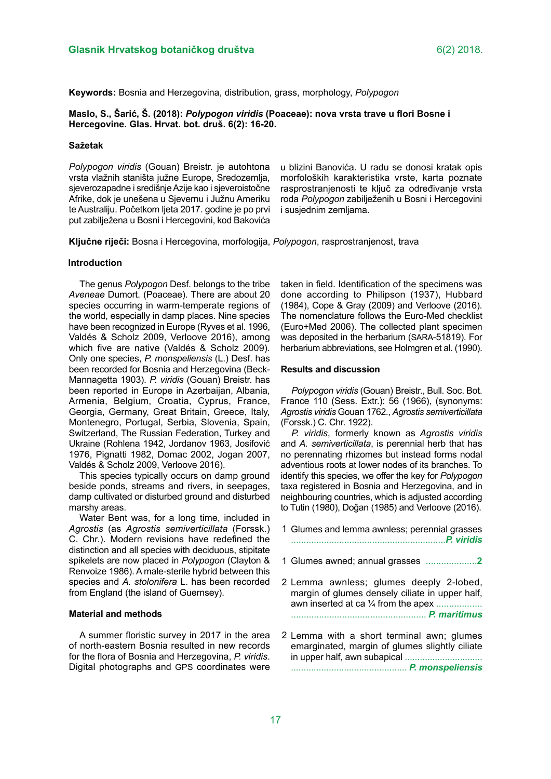**Keywords:** Bosnia and Herzegovina, distribution, grass, morphology, *Polypogon*

**Maslo, S., Šarić, Š. (2018):** *Polypogon viridis* **(Poaceae): nova vrsta trave u flori Bosne i Hercegovine. Glas. Hrvat. bot. druš. 6(2): 16-20.**

### **Sažetak**

*Polypogon viridis* (Gouan) Breistr. je autohtona vrsta vlažnih staništa južne Europe, Sredozemlja, sjeverozapadne i središnje Azije kao i sjeveroistočne Afrike, dok je unešena u Sjevernu i Južnu Ameriku te Australiju. Početkom ljeta 2017. godine je po prvi put zabilježena u Bosni i Hercegovini, kod Bakovića

u blizini Banovića. U radu se donosi kratak opis morfoloških karakteristika vrste, karta poznate rasprostranjenosti te ključ za određivanje vrsta roda *Polypogon* zabilježenih u Bosni i Hercegovini i susiednim zemliama.

**Ključne riječi:** Bosna i Hercegovina, morfologija, *Polypogon*, rasprostranjenost, trava

### **Introduction**

The genus *Polypogon* Desf. belongs to the tribe *Aveneae* Dumort. (Poaceae). There are about 20 species occurring in warm-temperate regions of the world, especially in damp places. Nine species have been recognized in Europe (Ryves et al. 1996, Valdés & Scholz 2009, Verloove 2016), among which five are native (Valdés & Scholz 2009). Only one species, *P. monspeliensis* (L.) Desf. has been recorded for Bosnia and Herzegovina (Beck-Mannagetta 1903). *P. viridis* (Gouan) Breistr. has been reported in Europe in Azerbaijan, Albania, Armenia, Belgium, Croatia, Cyprus, France, Georgia, Germany, Great Britain, Greece, Italy, Montenegro, Portugal, Serbia, Slovenia, Spain, Switzerland, The Russian Federation, Turkey and Ukraine (Rohlena 1942, Jordanov 1963, Josifović 1976, Pignatti 1982, Domac 2002, Jogan 2007, Valdés & Scholz 2009, Verloove 2016).

This species typically occurs on damp ground beside ponds, streams and rivers, in seepages, damp cultivated or disturbed ground and disturbed marshy areas.

Water Bent was, for a long time, included in *Agrostis* (as *Agrostis semiverticillata* (Forssk.) C. Chr.). Modern revisions have redefined the distinction and all species with deciduous, stipitate spikelets are now placed in *Polypogon* (Clayton & Renvoize 1986). A male-sterile hybrid between this species and *A. stolonifera* L. has been recorded from England (the island of Guernsey).

#### **Material and methods**

A summer floristic survey in 2017 in the area of north-eastern Bosnia resulted in new records for the flora of Bosnia and Herzegovina, *P. viridis*. Digital photographs and GPS coordinates were taken in field. Identification of the specimens was done according to Philipson (1937), Hubbard (1984), Cope & Gray (2009) and Verloove (2016). The nomenclature follows the Euro-Med checklist (Euro+Med 2006). The collected plant specimen was deposited in the herbarium (SARA-51819). For herbarium abbreviations, see Holmgren et al. (1990).

#### **Results and discussion**

*Polypogon viridis* (Gouan) Breistr., Bull. Soc. Bot. France 110 (Sess. Extr.): 56 (1966), (synonyms: *Agrostis viridis* Gouan 1762., *Agrostis semiverticillata*  (Forssk.) C. Chr. 1922).

*P. viridis*, formerly known as *Agrostis viridis* and *A. semiverticillata*, is perennial herb that has no perennating rhizomes but instead forms nodal adventious roots at lower nodes of its branches. To identify this species, we offer the key for *Polypogon*  taxa registered in Bosnia and Herzegovina, and in neighbouring countries, which is adjusted according to Tutin (1980), Doğan (1985) and Verloove (2016).

- Glumes and lemma awnless; perennial grasses 1 .............................................................*P. viridis*
- Glumes awned; annual grasses ....................**2** 1
- 2 Lemma awnless; glumes deeply 2-lobed, margin of glumes densely ciliate in upper half, awn inserted at ca 1/4 from the apex .................. ..................................................... *P. maritimus*
- 2 Lemma with a short terminal awn; glumes emarginated, margin of glumes slightly ciliate in upper half, awn subapical ............................... .............................................. *P. monspeliensis*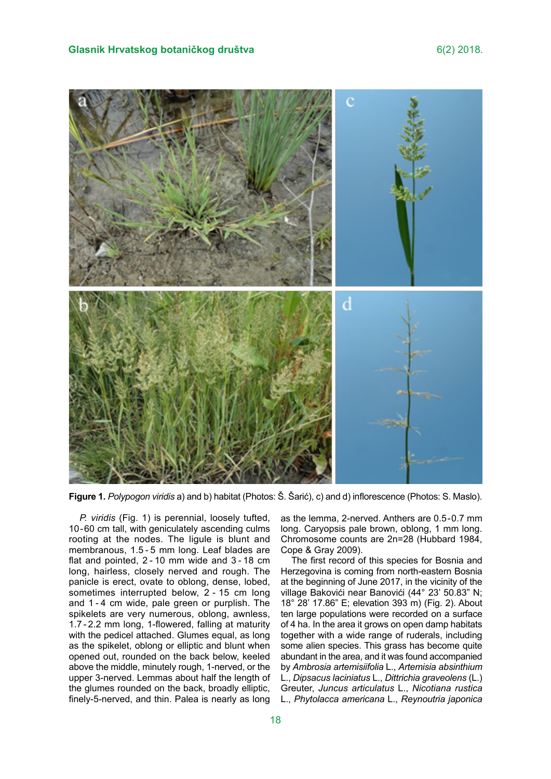

**Figure 1.** *Polypogon viridis* a) and b) habitat (Photos: Š. Šarić), c) and d) inflorescence (Photos: S. Maslo).

*P. viridis* (Fig. 1) is perennial, loosely tufted, 10-60 cm tall, with geniculately ascending culms rooting at the nodes. The ligule is blunt and membranous, 1.5 - 5 mm long. Leaf blades are flat and pointed, 2 - 10 mm wide and 3 - 18 cm long, hairless, closely nerved and rough. The panicle is erect, ovate to oblong, dense, lobed, sometimes interrupted below, 2 - 15 cm long and 1 - 4 cm wide, pale green or purplish. The spikelets are very numerous, oblong, awnless, 1.7 - 2.2 mm long, 1-flowered, falling at maturity with the pedicel attached. Glumes equal, as long as the spikelet, oblong or elliptic and blunt when opened out, rounded on the back below, keeled above the middle, minutely rough, 1-nerved, or the upper 3-nerved. Lemmas about half the length of the glumes rounded on the back, broadly elliptic, finely-5-nerved, and thin. Palea is nearly as long as the lemma, 2-nerved. Anthers are 0.5-0.7 mm long. Caryopsis pale brown, oblong, 1 mm long. Chromosome counts are 2n=28 (Hubbard 1984, Cope & Gray 2009).

The first record of this species for Bosnia and Herzegovina is coming from north-eastern Bosnia at the beginning of June 2017, in the vicinity of the village Bakovići near Banovići (44° 23' 50.83" N; 18° 28' 17.86" E; elevation 393 m) (Fig. 2). About ten large populations were recorded on a surface of 4 ha. In the area it grows on open damp habitats together with a wide range of ruderals, including some alien species. This grass has become quite abundant in the area, and it was found accompanied by *Ambrosia artemisiifolia* L., *Artemisia absinthium* L., *Dipsacus laciniatus* L., *Dittrichia graveolens* (L.) Greuter, *Juncus articulatus* L., *Nicotiana rustica* L., *Phytolacca americana* L., *Reynoutria japonica*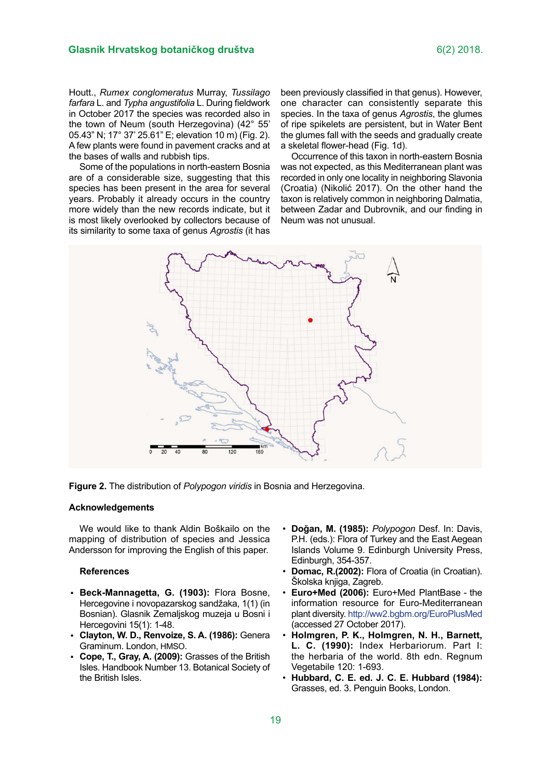Houtt., *Rumex conglomeratus* Murray, *Tussilago farfara* L. and *Typha angustifolia* L. During fieldwork in October 2017 the species was recorded also in the town of Neum (south Herzegovina) (42° 55' 05.43" N; 17° 37' 25.61" E; elevation 10 m) (Fig. 2). A few plants were found in pavement cracks and at the bases of walls and rubbish tips.

Some of the populations in north-eastern Bosnia are of a considerable size, suggesting that this species has been present in the area for several years. Probably it already occurs in the country more widely than the new records indicate, but it is most likely overlooked by collectors because of its similarity to some taxa of genus *Agrostis* (it has

been previously classified in that genus). However, one character can consistently separate this species. In the taxa of genus *Agrostis*, the glumes of ripe spikelets are persistent, but in Water Bent the glumes fall with the seeds and gradually create a skeletal flower-head (Fig. 1d).

Occurrence of this taxon in north-eastern Bosnia was not expected, as this Mediterranean plant was recorded in only one locality in neighboring Slavonia (Croatia) (Nikolić 2017). On the other hand the taxon is relatively common in neighboring Dalmatia, between Zadar and Dubrovnik, and our finding in Neum was not unusual.



**Figure 2.** The distribution of *Polypogon viridis* in Bosnia and Herzegovina.

## **Acknowledgements**

We would like to thank Aldin Boškailo on the mapping of distribution of species and Jessica Andersson for improving the English of this paper.

### **References**

- **Beck-Mannagetta, G. (1903):** Flora Bosne, Hercegovine i novopazarskog sandžaka, 1(1) (in Bosnian). Glasnik Zemaljskog muzeja u Bosni i Hercegovini 15(1): 1-48.
- **Clayton, W. D., Renvoize, S. A. (1986):** Genera Graminum. London, HMSO.
- **Cope, T., Gray, A. (2009):** Grasses of the British Isles. Handbook Number 13. Botanical Society of the British Isles.
- **Doğan, M. (1985):** *Polypogon* Desf. In: Davis, P.H. (eds.): Flora of Turkey and the East Aegean Islands Volume 9. Edinburgh University Press, Edinburgh, 354-357.
- **Domac, R.(2002):** Flora of Croatia (in Croatian). Školska knjiga, Zagreb.
- **Euro+Med (2006):** Euro+Med PlantBase - the information resource for Euro-Mediterranean plant diversity. [http://ww2.bgbm.org/EuroPlusMed](http://ww2.bgbm.org/EuroPlusMed ) (accessed 27 October 2017).
- **Holmgren, P. K., Holmgren, N. H., Barnett, L. C. (1990):** Index Herbariorum. Part I: the herbaria of the world. 8th edn. Regnum Vegetabile 120: 1-693.
- **Hubbard, C. E. ed. J. C. E. Hubbard (1984):** Grasses, ed. 3. Penguin Books, London.